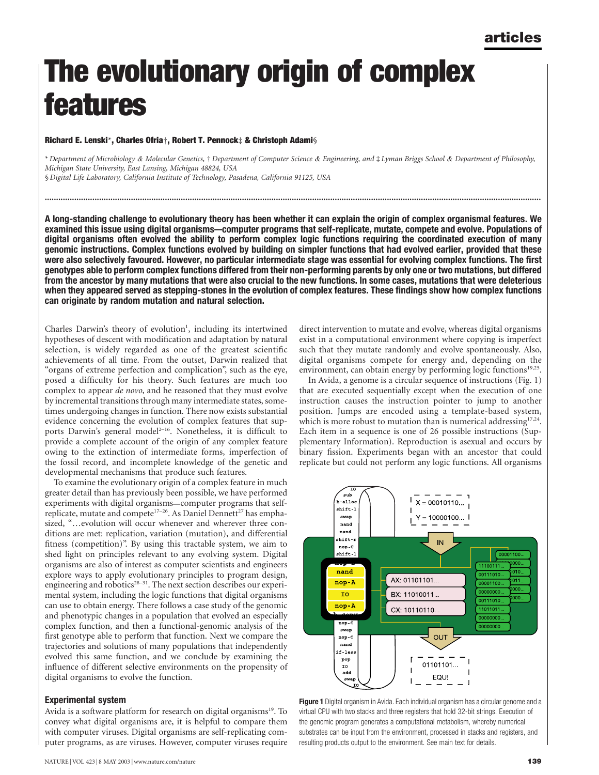# The evolutionary origin of complex features

...........................................................................................................................................................................................................................

## Richard E. Lenski\*, Charles Ofria†, Robert T. Pennock‡ & Christoph Adami§

\* Department of Microbiology & Molecular Genetics, † Department of Computer Science & Engineering, and ‡ Lyman Briggs School & Department of Philosophy, Michigan State University, East Lansing, Michigan 48824, USA

§ Digital Life Laboratory, California Institute of Technology, Pasadena, California 91125, USA

A long-standing challenge to evolutionary theory has been whether it can explain the origin of complex organismal features. We examined this issue using digital organisms—computer programs that self-replicate, mutate, compete and evolve. Populations of digital organisms often evolved the ability to perform complex logic functions requiring the coordinated execution of many genomic instructions. Complex functions evolved by building on simpler functions that had evolved earlier, provided that these were also selectively favoured. However, no particular intermediate stage was essential for evolving complex functions. The first genotypes able to perform complex functions differed from their non-performing parents by only one or two mutations, but differed from the ancestor by many mutations that were also crucial to the new functions. In some cases, mutations that were deleterious when they appeared served as stepping-stones in the evolution of complex features. These findings show how complex functions can originate by random mutation and natural selection.

Charles Darwin's theory of evolution<sup>1</sup>, including its intertwined hypotheses of descent with modification and adaptation by natural selection, is widely regarded as one of the greatest scientific achievements of all time. From the outset, Darwin realized that "organs of extreme perfection and complication", such as the eye, posed a difficulty for his theory. Such features are much too complex to appear de novo, and he reasoned that they must evolve by incremental transitions through many intermediate states, sometimes undergoing changes in function. There now exists substantial evidence concerning the evolution of complex features that supports Darwin's general model<sup>2-16</sup>. Nonetheless, it is difficult to provide a complete account of the origin of any complex feature owing to the extinction of intermediate forms, imperfection of the fossil record, and incomplete knowledge of the genetic and developmental mechanisms that produce such features.

To examine the evolutionary origin of a complex feature in much greater detail than has previously been possible, we have performed experiments with digital organisms—computer programs that selfreplicate, mutate and compete<sup>17-26</sup>. As Daniel Dennett<sup>27</sup> has emphasized, "...evolution will occur whenever and wherever three conditions are met: replication, variation (mutation), and differential fitness (competition)". By using this tractable system, we aim to shed light on principles relevant to any evolving system. Digital organisms are also of interest as computer scientists and engineers explore ways to apply evolutionary principles to program design, engineering and robotics<sup>28-31</sup>. The next section describes our experimental system, including the logic functions that digital organisms can use to obtain energy. There follows a case study of the genomic and phenotypic changes in a population that evolved an especially complex function, and then a functional-genomic analysis of the first genotype able to perform that function. Next we compare the trajectories and solutions of many populations that independently evolved this same function, and we conclude by examining the influence of different selective environments on the propensity of digital organisms to evolve the function.

# Experimental system

Avida is a software platform for research on digital organisms<sup>19</sup>. To convey what digital organisms are, it is helpful to compare them with computer viruses. Digital organisms are self-replicating computer programs, as are viruses. However, computer viruses require

direct intervention to mutate and evolve, whereas digital organisms exist in a computational environment where copying is imperfect such that they mutate randomly and evolve spontaneously. Also, digital organisms compete for energy and, depending on the environment, can obtain energy by performing logic functions<sup>19,25</sup>.

In Avida, a genome is a circular sequence of instructions (Fig. 1) that are executed sequentially except when the execution of one instruction causes the instruction pointer to jump to another position. Jumps are encoded using a template-based system, which is more robust to mutation than is numerical addressing $17,24$ . Each item in a sequence is one of 26 possible instructions (Supplementary Information). Reproduction is asexual and occurs by binary fission. Experiments began with an ancestor that could replicate but could not perform any logic functions. All organisms



Figure 1 Digital organism in Avida. Each individual organism has a circular genome and a virtual CPU with two stacks and three registers that hold 32-bit strings. Execution of the genomic program generates a computational metabolism, whereby numerical substrates can be input from the environment, processed in stacks and registers, and resulting products output to the environment. See main text for details.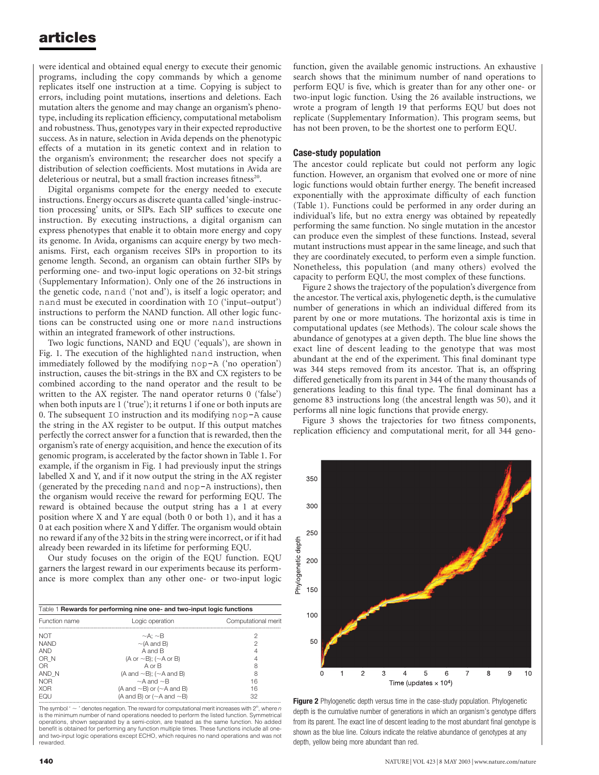# articles

were identical and obtained equal energy to execute their genomic programs, including the copy commands by which a genome replicates itself one instruction at a time. Copying is subject to errors, including point mutations, insertions and deletions. Each mutation alters the genome and may change an organism's phenotype, including its replication efficiency, computational metabolism and robustness. Thus, genotypes vary in their expected reproductive success. As in nature, selection in Avida depends on the phenotypic effects of a mutation in its genetic context and in relation to the organism's environment; the researcher does not specify a distribution of selection coefficients. Most mutations in Avida are deleterious or neutral, but a small fraction increases fitness<sup>20</sup>.

Digital organisms compete for the energy needed to execute instructions. Energy occurs as discrete quanta called 'single-instruction processing' units, or SIPs. Each SIP suffices to execute one instruction. By executing instructions, a digital organism can express phenotypes that enable it to obtain more energy and copy its genome. In Avida, organisms can acquire energy by two mechanisms. First, each organism receives SIPs in proportion to its genome length. Second, an organism can obtain further SIPs by performing one- and two-input logic operations on 32-bit strings (Supplementary Information). Only one of the 26 instructions in the genetic code, nand ('not and'), is itself a logic operator; and nand must be executed in coordination with IO ('input–output') instructions to perform the NAND function. All other logic functions can be constructed using one or more nand instructions within an integrated framework of other instructions.

Two logic functions, NAND and EQU ('equals'), are shown in Fig. 1. The execution of the highlighted nand instruction, when immediately followed by the modifying nop-A ('no operation') instruction, causes the bit-strings in the BX and CX registers to be combined according to the nand operator and the result to be written to the AX register. The nand operator returns 0 ('false') when both inputs are 1 ('true'); it returns 1 if one or both inputs are 0. The subsequent IO instruction and its modifying nop-A cause the string in the AX register to be output. If this output matches perfectly the correct answer for a function that is rewarded, then the organism's rate of energy acquisition, and hence the execution of its genomic program, is accelerated by the factor shown in Table 1. For example, if the organism in Fig. 1 had previously input the strings labelled X and Y, and if it now output the string in the AX register (generated by the preceding nand and nop-A instructions), then the organism would receive the reward for performing EQU. The reward is obtained because the output string has a 1 at every position where X and Y are equal (both 0 or both 1), and it has a 0 at each position where X and Ydiffer. The organism would obtain no reward if any of the 32 bits in the string were incorrect, or if it had already been rewarded in its lifetime for performing EQU.

Our study focuses on the origin of the EQU function. EQU garners the largest reward in our experiments because its performance is more complex than any other one- or two-input logic

| Table 1 Rewards for performing nine one- and two-input logic functions |                                       |                     |  |  |  |  |  |  |
|------------------------------------------------------------------------|---------------------------------------|---------------------|--|--|--|--|--|--|
| Function name                                                          | Logic operation                       | Computational merit |  |  |  |  |  |  |
| <b>NOT</b>                                                             | $\sim$ A: $\sim$ B                    |                     |  |  |  |  |  |  |
| <b>NAND</b>                                                            | $\sim$ (A and B)                      |                     |  |  |  |  |  |  |
| <b>AND</b>                                                             | A and R                               |                     |  |  |  |  |  |  |
| OR N                                                                   | (A or $\sim$ B); ( $\sim$ A or B)     |                     |  |  |  |  |  |  |
| OR                                                                     | A or $B$                              | 8                   |  |  |  |  |  |  |
| AND N                                                                  | (A and $\sim$ B); ( $\sim$ A and B)   | 8                   |  |  |  |  |  |  |
| <b>NOR</b>                                                             | $\sim$ A and $\sim$ B                 | 16                  |  |  |  |  |  |  |
| <b>XOR</b>                                                             | (A and $\sim$ B) or ( $\sim$ A and B) | 16                  |  |  |  |  |  |  |
| FOU                                                                    | (A and B) or $(\sim A$ and $\sim B$ ) | 32                  |  |  |  |  |  |  |

The symbol '  $\sim$  ' denotes negation. The reward for computational merit increases with  $2^n$ , where n is the minimum number of nand operations needed to perform the listed function. Symmetrical operations, shown separated by a semi-colon, are treated as the same function. No added benefit is obtained for performing any function multiple times. These functions include all oneand two-input logic operations except ECHO, which requires no nand operations and was not rewarded.

function, given the available genomic instructions. An exhaustive search shows that the minimum number of nand operations to perform EQU is five, which is greater than for any other one- or two-input logic function. Using the 26 available instructions, we wrote a program of length 19 that performs EQU but does not replicate (Supplementary Information). This program seems, but has not been proven, to be the shortest one to perform EQU.

### Case-study population

The ancestor could replicate but could not perform any logic function. However, an organism that evolved one or more of nine logic functions would obtain further energy. The benefit increased exponentially with the approximate difficulty of each function (Table 1). Functions could be performed in any order during an individual's life, but no extra energy was obtained by repeatedly performing the same function. No single mutation in the ancestor can produce even the simplest of these functions. Instead, several mutant instructions must appear in the same lineage, and such that they are coordinately executed, to perform even a simple function. Nonetheless, this population (and many others) evolved the capacity to perform EQU, the most complex of these functions.

Figure 2 shows the trajectory of the population's divergence from the ancestor. The vertical axis, phylogenetic depth, is the cumulative number of generations in which an individual differed from its parent by one or more mutations. The horizontal axis is time in computational updates (see Methods). The colour scale shows the abundance of genotypes at a given depth. The blue line shows the exact line of descent leading to the genotype that was most abundant at the end of the experiment. This final dominant type was 344 steps removed from its ancestor. That is, an offspring differed genetically from its parent in 344 of the many thousands of generations leading to this final type. The final dominant has a genome 83 instructions long (the ancestral length was 50), and it performs all nine logic functions that provide energy.

Figure 3 shows the trajectories for two fitness components, replication efficiency and computational merit, for all 344 geno-



Figure 2 Phylogenetic depth versus time in the case-study population. Phylogenetic depth is the cumulative number of generations in which an organism's genotype differs from its parent. The exact line of descent leading to the most abundant final genotype is shown as the blue line. Colours indicate the relative abundance of genotypes at any depth, yellow being more abundant than red.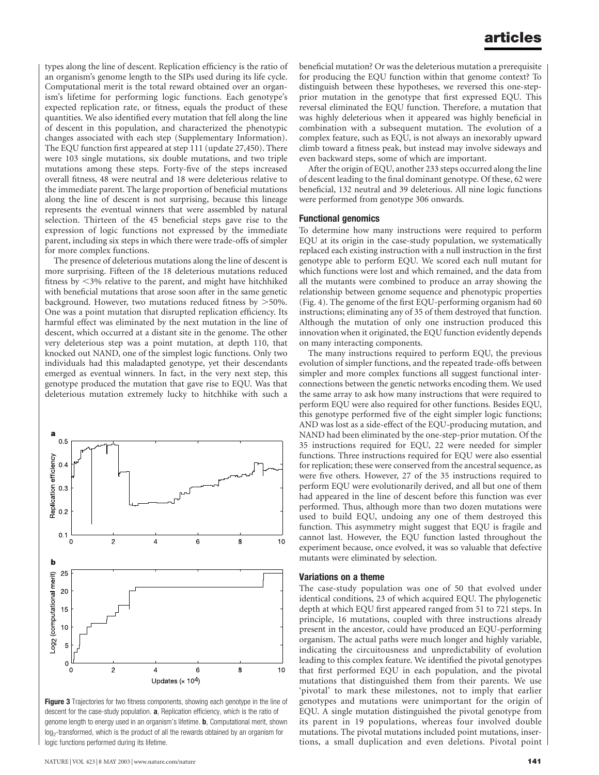types along the line of descent. Replication efficiency is the ratio of an organism's genome length to the SIPs used during its life cycle. Computational merit is the total reward obtained over an organism's lifetime for performing logic functions. Each genotype's expected replication rate, or fitness, equals the product of these quantities. We also identified every mutation that fell along the line of descent in this population, and characterized the phenotypic changes associated with each step (Supplementary Information). The EQU function first appeared at step 111 (update 27,450). There were 103 single mutations, six double mutations, and two triple mutations among these steps. Forty-five of the steps increased overall fitness, 48 were neutral and 18 were deleterious relative to the immediate parent. The large proportion of beneficial mutations along the line of descent is not surprising, because this lineage represents the eventual winners that were assembled by natural selection. Thirteen of the 45 beneficial steps gave rise to the expression of logic functions not expressed by the immediate parent, including six steps in which there were trade-offs of simpler for more complex functions.

The presence of deleterious mutations along the line of descent is more surprising. Fifteen of the 18 deleterious mutations reduced fitness by  $\langle 3\%$  relative to the parent, and might have hitchhiked with beneficial mutations that arose soon after in the same genetic background. However, two mutations reduced fitness by  $>50\%$ . One was a point mutation that disrupted replication efficiency. Its harmful effect was eliminated by the next mutation in the line of descent, which occurred at a distant site in the genome. The other very deleterious step was a point mutation, at depth 110, that knocked out NAND, one of the simplest logic functions. Only two individuals had this maladapted genotype, yet their descendants emerged as eventual winners. In fact, in the very next step, this genotype produced the mutation that gave rise to EQU. Was that deleterious mutation extremely lucky to hitchhike with such a



Figure 3 Trajectories for two fitness components, showing each genotype in the line of descent for the case-study population. a, Replication efficiency, which is the ratio of genome length to energy used in an organism's lifetime. **b**, Computational merit, shown log<sub>2</sub>-transformed, which is the product of all the rewards obtained by an organism for logic functions performed during its lifetime.

beneficial mutation? Or was the deleterious mutation a prerequisite for producing the EQU function within that genome context? To distinguish between these hypotheses, we reversed this one-stepprior mutation in the genotype that first expressed EQU. This reversal eliminated the EQU function. Therefore, a mutation that was highly deleterious when it appeared was highly beneficial in combination with a subsequent mutation. The evolution of a complex feature, such as EQU, is not always an inexorably upward climb toward a fitness peak, but instead may involve sideways and even backward steps, some of which are important.

After the origin of EQU, another 233 steps occurred along the line of descent leading to the final dominant genotype. Of these, 62 were beneficial, 132 neutral and 39 deleterious. All nine logic functions were performed from genotype 306 onwards.

### Functional genomics

To determine how many instructions were required to perform EQU at its origin in the case-study population, we systematically replaced each existing instruction with a null instruction in the first genotype able to perform EQU. We scored each null mutant for which functions were lost and which remained, and the data from all the mutants were combined to produce an array showing the relationship between genome sequence and phenotypic properties (Fig. 4). The genome of the first EQU-performing organism had 60 instructions; eliminating any of 35 of them destroyed that function. Although the mutation of only one instruction produced this innovation when it originated, the EQU function evidently depends on many interacting components.

The many instructions required to perform EQU, the previous evolution of simpler functions, and the repeated trade-offs between simpler and more complex functions all suggest functional interconnections between the genetic networks encoding them. We used the same array to ask how many instructions that were required to perform EQU were also required for other functions. Besides EQU, this genotype performed five of the eight simpler logic functions; AND was lost as a side-effect of the EQU-producing mutation, and NAND had been eliminated by the one-step-prior mutation. Of the 35 instructions required for EQU, 22 were needed for simpler functions. Three instructions required for EQU were also essential for replication; these were conserved from the ancestral sequence, as were five others. However, 27 of the 35 instructions required to perform EQU were evolutionarily derived, and all but one of them had appeared in the line of descent before this function was ever performed. Thus, although more than two dozen mutations were used to build EQU, undoing any one of them destroyed this function. This asymmetry might suggest that EQU is fragile and cannot last. However, the EQU function lasted throughout the experiment because, once evolved, it was so valuable that defective mutants were eliminated by selection.

### Variations on a theme

The case-study population was one of 50 that evolved under identical conditions, 23 of which acquired EQU. The phylogenetic depth at which EQU first appeared ranged from 51 to 721 steps. In principle, 16 mutations, coupled with three instructions already present in the ancestor, could have produced an EQU-performing organism. The actual paths were much longer and highly variable, indicating the circuitousness and unpredictability of evolution leading to this complex feature. We identified the pivotal genotypes that first performed EQU in each population, and the pivotal mutations that distinguished them from their parents. We use 'pivotal' to mark these milestones, not to imply that earlier genotypes and mutations were unimportant for the origin of EQU. A single mutation distinguished the pivotal genotype from its parent in 19 populations, whereas four involved double mutations. The pivotal mutations included point mutations, insertions, a small duplication and even deletions. Pivotal point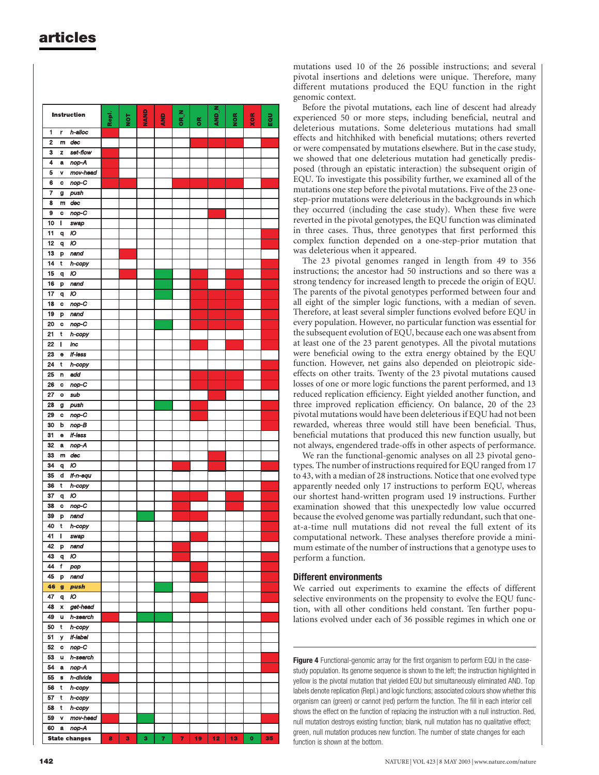| <b>Instruction</b>         | Repl. | Ton | <b>NAMD</b> | <b>AND</b> | OR <sub>N</sub> | 6            | AND <sub>.</sub> | <b>NOR</b> | XOR      | 음<br>교 |
|----------------------------|-------|-----|-------------|------------|-----------------|--------------|------------------|------------|----------|--------|
| h-alloc<br>1<br>r          |       |     |             |            |                 |              |                  |            |          |        |
| 2<br>dec<br>m              |       |     |             |            |                 |              |                  |            |          |        |
| з<br>set-flow<br>z         |       |     |             |            |                 |              |                  |            |          |        |
| 4<br>nop-A<br>a            |       |     |             |            |                 |              |                  |            |          |        |
| 5<br>mov-head<br>٧         |       |     |             |            |                 |              |                  |            |          |        |
| 6<br>nop-C<br>c            |       |     |             |            |                 |              |                  |            |          |        |
| 7<br>push<br>g             |       |     |             |            |                 |              |                  |            |          |        |
| 8<br>dec<br>m              |       |     |             |            |                 |              |                  |            |          |        |
| $nop-C$<br>9<br>c          |       |     |             |            |                 |              |                  |            |          |        |
| 10<br>L                    |       |     |             |            |                 |              |                  |            |          |        |
| swap                       |       |     |             |            |                 |              |                  |            |          |        |
| 11<br>ю<br>q               |       |     |             |            |                 |              |                  |            |          |        |
| 12<br>Ю<br>q               |       |     |             |            |                 |              |                  |            |          |        |
| 13<br>nand<br>p            |       |     |             |            |                 |              |                  |            |          |        |
| 14<br>t<br>h-copy          |       |     |             |            |                 |              |                  |            |          |        |
| 15<br>ю<br>q               |       |     |             |            |                 |              |                  |            |          |        |
| 16<br>nand<br>p            |       |     |             |            |                 |              |                  |            |          |        |
| 17<br>ю<br>q               |       |     |             |            |                 |              |                  |            |          |        |
| 18<br>$nop-C$<br>c         |       |     |             |            |                 |              |                  |            |          |        |
| 19<br>nand<br>р            |       |     |             |            |                 |              |                  |            |          |        |
| 20<br>nop-C<br>c           |       |     |             |            |                 |              |                  |            |          |        |
| 21<br>t<br>h-copy          |       |     |             |            |                 |              |                  |            |          |        |
| 22<br>L<br>inc             |       |     |             |            |                 |              |                  |            |          |        |
| 23<br>if-less<br>θ         |       |     |             |            |                 |              |                  |            |          |        |
| 24<br>t<br>h-copy          |       |     |             |            |                 |              |                  |            |          |        |
| 25<br>add<br>n             |       |     |             |            |                 |              |                  |            |          |        |
| 26<br>$nop-C$<br>c         |       |     |             |            |                 |              |                  |            |          |        |
| 27<br>sub                  |       |     |             |            |                 |              |                  |            |          |        |
| ۰                          |       |     |             |            |                 |              |                  |            |          |        |
| 28<br>push<br>g            |       |     |             |            |                 |              |                  |            |          |        |
| 29<br>nop-C<br>c           |       |     |             |            |                 |              |                  |            |          |        |
| 30<br>nop-B<br>b           |       |     |             |            |                 |              |                  |            |          |        |
| if-less<br>31<br>Θ         |       |     |             |            |                 |              |                  |            |          |        |
| 32<br>nop-A<br>a           |       |     |             |            |                 |              |                  |            |          |        |
| 33<br>dec<br>m             |       |     |             |            |                 |              |                  |            |          |        |
| 34<br>ю<br>q               |       |     |             |            |                 |              |                  |            |          |        |
| 35<br>d<br>if-n-equ        |       |     |             |            |                 |              |                  |            |          |        |
| 36<br>t<br>h-copy          |       |     |             |            |                 |              |                  |            |          |        |
| Ю<br>37<br>q               |       |     |             |            |                 |              |                  |            |          |        |
| 38<br>nop-C<br>c           |       |     |             |            |                 |              |                  |            |          |        |
| 39<br>nand<br>р            |       |     |             |            |                 |              |                  |            |          |        |
| 40<br>t<br>h-copy          |       |     |             |            |                 |              |                  |            |          |        |
| 41<br>ı<br>swap            |       |     |             |            |                 |              |                  |            |          |        |
| 42<br>nand<br>p            |       |     |             |            |                 |              |                  |            |          |        |
| 43<br>Ю<br>q               |       |     |             |            |                 |              |                  |            |          |        |
| 44<br>f<br>pop             |       |     |             |            |                 |              |                  |            |          |        |
| 45<br>p nand               |       |     |             |            |                 |              |                  |            |          |        |
| 46<br>push<br>$\mathbf{g}$ |       |     |             |            |                 |              |                  |            |          |        |
| Ю<br>47<br>q               |       |     |             |            |                 |              |                  |            |          |        |
| 48<br>get-head<br>x        |       |     |             |            |                 |              |                  |            |          |        |
| 49<br>h-search<br>u        |       |     |             |            |                 |              |                  |            |          |        |
| 50<br>t                    |       |     |             |            |                 |              |                  |            |          |        |
| h-copy                     |       |     |             |            |                 |              |                  |            |          |        |
| 51<br>if-label<br>у        |       |     |             |            |                 |              |                  |            |          |        |
| 52<br>nop-C<br>c           |       |     |             |            |                 |              |                  |            |          |        |
| 53<br>h-search<br>u        |       |     |             |            |                 |              |                  |            |          |        |
| 54<br>nop-A<br>a           |       |     |             |            |                 |              |                  |            |          |        |
| h-divide<br>55<br>s        |       |     |             |            |                 |              |                  |            |          |        |
| 56<br>t<br>h-copy          |       |     |             |            |                 |              |                  |            |          |        |
| 57<br>t<br>h-copy          |       |     |             |            |                 |              |                  |            |          |        |
| 58<br>t<br>h-copy          |       |     |             |            |                 |              |                  |            |          |        |
| 59<br>mov-head<br>v.       |       |     |             |            |                 |              |                  |            |          |        |
| 60<br>nop-A<br>a           |       |     |             |            |                 |              |                  |            |          |        |
| State changes   8   3      |       |     | - 3 -       |            |                 | 7 7 19 12 13 |                  |            | <b>O</b> | 35     |

mutations used 10 of the 26 possible instructions; and several pivotal insertions and deletions were unique. Therefore, many different mutations produced the EQU function in the right genomic context.

Before the pivotal mutations, each line of descent had already experienced 50 or more steps, including beneficial, neutral and deleterious mutations. Some deleterious mutations had small effects and hitchhiked with beneficial mutations; others reverted or were compensated by mutations elsewhere. But in the case study, we showed that one deleterious mutation had genetically predisposed (through an epistatic interaction) the subsequent origin of EQU. To investigate this possibility further, we examined all of the mutations one step before the pivotal mutations. Five of the 23 onestep-prior mutations were deleterious in the backgrounds in which they occurred (including the case study). When these five were reverted in the pivotal genotypes, the EQU function was eliminated in three cases. Thus, three genotypes that first performed this complex function depended on a one-step-prior mutation that was deleterious when it appeared.

The 23 pivotal genomes ranged in length from 49 to 356 instructions; the ancestor had 50 instructions and so there was a strong tendency for increased length to precede the origin of EQU. The parents of the pivotal genotypes performed between four and all eight of the simpler logic functions, with a median of seven. Therefore, at least several simpler functions evolved before EQU in every population. However, no particular function was essential for the subsequent evolution of EQU, because each one was absent from at least one of the 23 parent genotypes. All the pivotal mutations were beneficial owing to the extra energy obtained by the EQU function. However, net gains also depended on pleiotropic sideeffects on other traits. Twenty of the 23 pivotal mutations caused losses of one or more logic functions the parent performed, and 13 reduced replication efficiency. Eight yielded another function, and three improved replication efficiency. On balance, 20 of the 23 pivotal mutations would have been deleterious if EQU had not been rewarded, whereas three would still have been beneficial. Thus, beneficial mutations that produced this new function usually, but not always, engendered trade-offs in other aspects of performance.

We ran the functional-genomic analyses on all 23 pivotal genotypes. The number of instructions required for EQU ranged from 17 to 43, with a median of 28 instructions. Notice that one evolved type apparently needed only 17 instructions to perform EQU, whereas our shortest hand-written program used 19 instructions. Further examination showed that this unexpectedly low value occurred because the evolved genome was partially redundant, such that oneat-a-time null mutations did not reveal the full extent of its computational network. These analyses therefore provide a minimum estimate of the number of instructions that a genotype uses to perform a function.

## Different environments

We carried out experiments to examine the effects of different selective environments on the propensity to evolve the EQU function, with all other conditions held constant. Ten further populations evolved under each of 36 possible regimes in which one or

Figure 4 Functional-genomic array for the first organism to perform EQU in the casestudy population. Its genome sequence is shown to the left; the instruction highlighted in yellow is the pivotal mutation that yielded EQU but simultaneously eliminated AND. Top labels denote replication (Repl.) and logic functions; associated colours show whether this organism can (green) or cannot (red) perform the function. The fill in each interior cell shows the effect on the function of replacing the instruction with a null instruction. Red, null mutation destroys existing function; blank, null mutation has no qualitative effect; green, null mutation produces new function. The number of state changes for each function is shown at the bottom.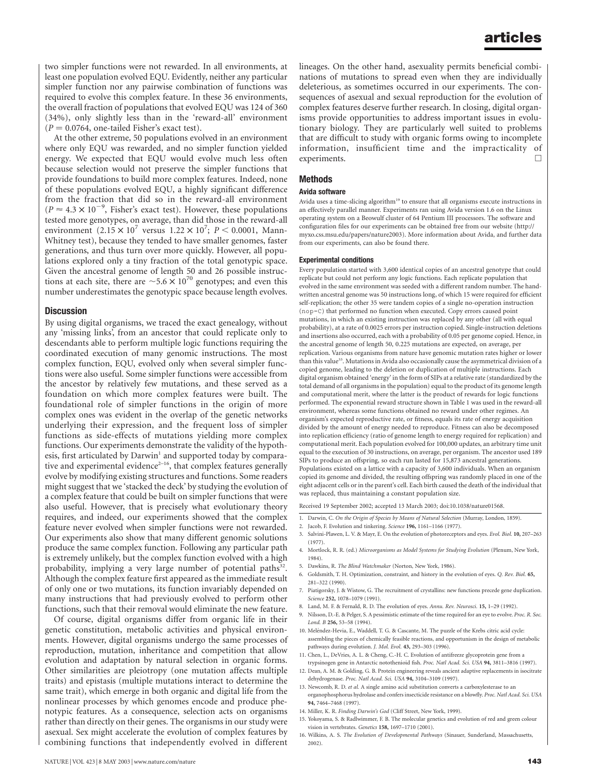# articles

two simpler functions were not rewarded. In all environments, at least one population evolved EQU. Evidently, neither any particular simpler function nor any pairwise combination of functions was required to evolve this complex feature. In these 36 environments, the overall fraction of populations that evolved EQU was 124 of 360 (34%), only slightly less than in the 'reward-all' environment  $(P = 0.0764$ , one-tailed Fisher's exact test).

At the other extreme, 50 populations evolved in an environment where only EQU was rewarded, and no simpler function yielded energy. We expected that EQU would evolve much less often because selection would not preserve the simpler functions that provide foundations to build more complex features. Indeed, none of these populations evolved EQU, a highly significant difference from the fraction that did so in the reward-all environment  $(P \approx 4.3 \times 10^{-9}$ , Fisher's exact test). However, these populations tested more genotypes, on average, than did those in the reward-all environment  $(2.15 \times 10^7 \text{ versus } 1.22 \times 10^7; P < 0.0001, \text{ Mann}$ Whitney test), because they tended to have smaller genomes, faster generations, and thus turn over more quickly. However, all populations explored only a tiny fraction of the total genotypic space. Given the ancestral genome of length 50 and 26 possible instructions at each site, there are  $\sim 5.6 \times 10^{70}$  genotypes; and even this number underestimates the genotypic space because length evolves.

## **Discussion**

By using digital organisms, we traced the exact genealogy, without any 'missing links', from an ancestor that could replicate only to descendants able to perform multiple logic functions requiring the coordinated execution of many genomic instructions. The most complex function, EQU, evolved only when several simpler functions were also useful. Some simpler functions were accessible from the ancestor by relatively few mutations, and these served as a foundation on which more complex features were built. The foundational role of simpler functions in the origin of more complex ones was evident in the overlap of the genetic networks underlying their expression, and the frequent loss of simpler functions as side-effects of mutations yielding more complex functions. Our experiments demonstrate the validity of the hypothesis, first articulated by  $Darwin<sup>1</sup>$  and supported today by comparative and experimental evidence $2-16$ , that complex features generally evolve by modifying existing structures and functions. Some readers might suggest that we 'stacked the deck' by studying the evolution of a complex feature that could be built on simpler functions that were also useful. However, that is precisely what evolutionary theory requires, and indeed, our experiments showed that the complex feature never evolved when simpler functions were not rewarded. Our experiments also show that many different genomic solutions produce the same complex function. Following any particular path is extremely unlikely, but the complex function evolved with a high probability, implying a very large number of potential paths<sup>32</sup>. Although the complex feature first appeared as the immediate result of only one or two mutations, its function invariably depended on many instructions that had previously evolved to perform other functions, such that their removal would eliminate the new feature.

Of course, digital organisms differ from organic life in their genetic constitution, metabolic activities and physical environments. However, digital organisms undergo the same processes of reproduction, mutation, inheritance and competition that allow evolution and adaptation by natural selection in organic forms. Other similarities are pleiotropy (one mutation affects multiple traits) and epistasis (multiple mutations interact to determine the same trait), which emerge in both organic and digital life from the nonlinear processes by which genomes encode and produce phenotypic features. As a consequence, selection acts on organisms rather than directly on their genes. The organisms in our study were asexual. Sex might accelerate the evolution of complex features by combining functions that independently evolved in different lineages. On the other hand, asexuality permits beneficial combinations of mutations to spread even when they are individually deleterious, as sometimes occurred in our experiments. The consequences of asexual and sexual reproduction for the evolution of complex features deserve further research. In closing, digital organisms provide opportunities to address important issues in evolutionary biology. They are particularly well suited to problems that are difficult to study with organic forms owing to incomplete information, insufficient time and the impracticality of experiments.  $\Box$ 

### Methods

### Avida software

Avida uses a time-slicing algorithm<sup>19</sup> to ensure that all organisms execute instructions in an effectively parallel manner. Experiments ran using Avida version 1.6 on the Linux operating system on a Beowulf cluster of 64 Pentium III processors. The software and configuration files for our experiments can be obtained free from our website (http:// myxo.css.msu.edu/papers/nature2003). More information about Avida, and further data from our experiments, can also be found there.

#### Experimental conditions

Every population started with 3,600 identical copies of an ancestral genotype that could replicate but could not perform any logic functions. Each replicate population that evolved in the same environment was seeded with a different random number. The handwritten ancestral genome was 50 instructions long, of which 15 were required for efficient self-replication; the other 35 were tandem copies of a single no-operation instruction (nop-C) that performed no function when executed. Copy errors caused point mutations, in which an existing instruction was replaced by any other (all with equal probability), at a rate of 0.0025 errors per instruction copied. Single-instruction deletions and insertions also occurred, each with a probability of 0.05 per genome copied. Hence, in the ancestral genome of length 50, 0.225 mutations are expected, on average, per replication. Various organisms from nature have genomic mutation rates higher or lower than this value<sup>33</sup>. Mutations in Avida also occasionally cause the asymmetrical division of a copied genome, leading to the deletion or duplication of multiple instructions. Each digital organism obtained 'energy' in the form of SIPs at a relative rate (standardized by the total demand of all organisms in the population) equal to the product of its genome length and computational merit, where the latter is the product of rewards for logic functions performed. The exponential reward structure shown in Table 1 was used in the reward-all environment, whereas some functions obtained no reward under other regimes. An organism's expected reproductive rate, or fitness, equals its rate of energy acquisition divided by the amount of energy needed to reproduce. Fitness can also be decomposed into replication efficiency (ratio of genome length to energy required for replication) and computational merit. Each population evolved for 100,000 updates, an arbitrary time unit equal to the execution of 30 instructions, on average, per organism. The ancestor used 189 SIPs to produce an offspring, so each run lasted for 15,873 ancestral generations. Populations existed on a lattice with a capacity of 3,600 individuals. When an organism copied its genome and divided, the resulting offspring was randomly placed in one of the eight adjacent cells or in the parent's cell. Each birth caused the death of the individual that was replaced, thus maintaining a constant population size.

Received 19 September 2002; accepted 13 March 2003; doi:10.1038/nature01568.

- 1. Darwin, C. On the Origin of Species by Means of Natural Selection (Murray, London, 1859).
- Jacob, F. Evolution and tinkering. Science 196, 1161-1166 (1977).
- 3. Salvini-Plawen, L. V. & Mayr, E. On the evolution of photoreceptors and eyes. Evol. Biol. 10, 207–263 (1977).
- 4. Mortlock, R. R. (ed.) Microorganisms as Model Systems for Studying Evolution (Plenum, New York, 1984).
- 5. Dawkins, R. The Blind Watchmaker (Norton, New York, 1986).
- 6. Goldsmith, T. H. Optimization, constraint, and history in the evolution of eyes. Q. Rev. Biol. 65, 281–322 (1990).
- 7. Piatigorsky, J. & Wistow, G. The recruitment of crystallins: new functions precede gene duplication. Science 252, 1078-1079 (1991).
- Land, M. F. & Fernald, R. D. The evolution of eyes. Annu. Rev. Neurosci. 15, 1-29 (1992).
- 9. Nilsson, D.-E. & Pelger, S. A pessimistic estimate of the time required for an eye to evolve. Proc. R. Soc. Lond. B 256, 53–58 (1994).
- 10. Meléndez-Hevia, E., Waddell, T. G. & Cascante, M. The puzzle of the Krebs citric acid cycle: assembling the pieces of chemically feasible reactions, and opportunism in the design of metabolic pathways during evolution. J. Mol. Evol. 43, 293–303 (1996).
- 11. Chen, L., DeVries, A. L. & Cheng, C.-H. C. Evolution of antifreeze glycoprotein gene from a trypsinogen gene in Antarctic notothenioid fish. Proc. Natl Acad. Sci. USA 94, 3811–3816 (1997).
- 12. Dean, A. M. & Golding, G. B. Protein engineering reveals ancient adaptive replacements in isocitrate dehydrogenase. Proc. Natl Acad. Sci. USA 94, 3104–3109 (1997).
- 13. Newcomb, R. D. et al. A single amino acid substitution converts a carboxylesterase to an organophosphorus hydrolase and confers insecticide resistance on a blowfly. Proc. Natl Acad. Sci. USA 94, 7464–7468 (1997).
- 14. Miller, K. R. Finding Darwin's God (Cliff Street, New York, 1999).
- 15. Yokoyama, S. & Radlwimmer, F. B. The molecular genetics and evolution of red and green colour
- vision in vertebrates. Genetics 158, 1697–1710 (2001). 16. Wilkins, A. S. The Evolution of Developmental Pathways (Sinauer, Sunderland, Massachusetts, 2002).